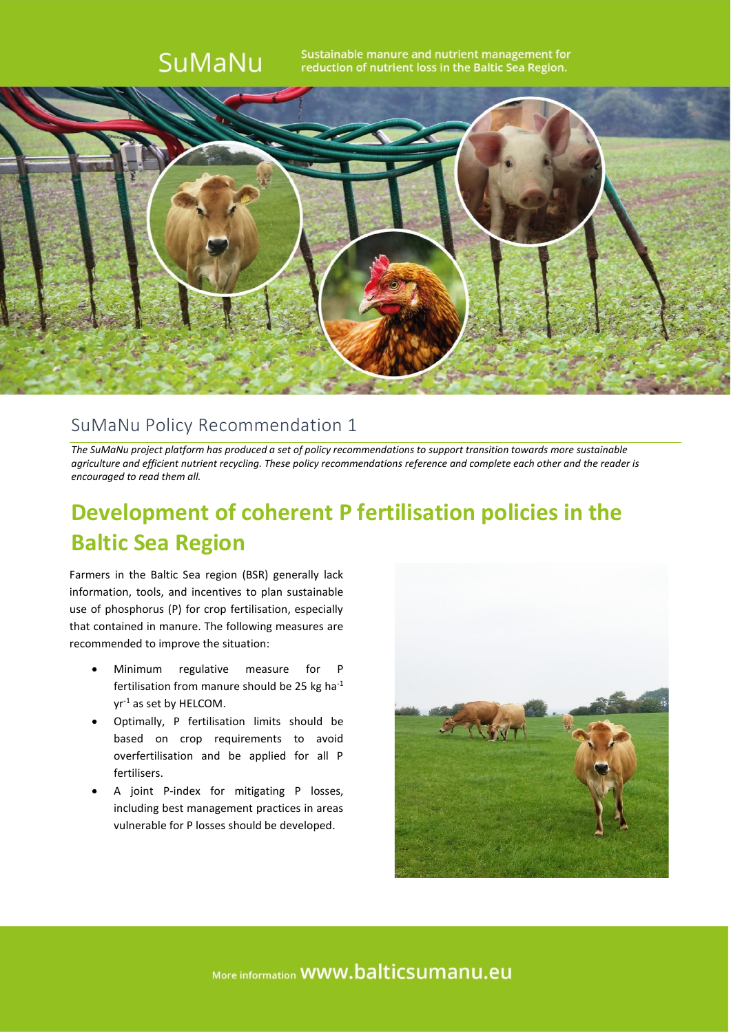

### SuMaNu Policy Recommendation 1

*The SuMaNu project platform has produced a set of policy recommendations to support transition towards more sustainable agriculture and efficient nutrient recycling. These policy recommendations reference and complete each other and the reader is encouraged to read them all.*

## **Development of coherent P fertilisation policies in the Baltic Sea Region**

Farmers in the Baltic Sea region (BSR) generally lack information, tools, and incentives to plan sustainable use of phosphorus (P) for crop fertilisation, especially that contained in manure. The following measures are recommended to improve the situation:

- Minimum regulative measure for P fertilisation from manure should be 25 kg ha-1 yr-1 as set by HELCOM.
- Optimally, P fertilisation limits should be based on crop requirements to avoid overfertilisation and be applied for all P fertilisers.
- A joint P-index for mitigating P losses, including best management practices in areas vulnerable for P losses should be developed.



More information **WWW.balticsumanu.eu**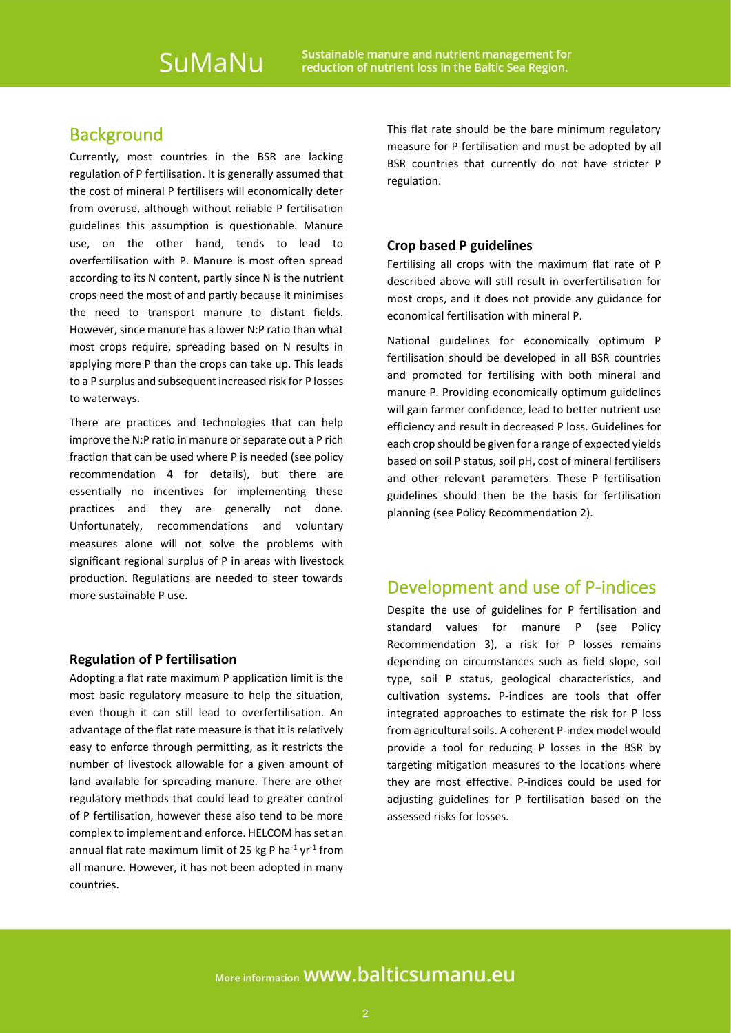## **Background**

Currently, most countries in the BSR are lacking regulation of P fertilisation. It is generally assumed that the cost of mineral P fertilisers will economically deter from overuse, although without reliable P fertilisation guidelines this assumption is questionable. Manure use, on the other hand, tends to lead to overfertilisation with P. Manure is most often spread according to its N content, partly since N is the nutrient crops need the most of and partly because it minimises the need to transport manure to distant fields. However, since manure has a lower N:P ratio than what most crops require, spreading based on N results in applying more P than the crops can take up. This leads to a P surplus and subsequent increased risk for P losses to waterways.

There are practices and technologies that can help improve the N:P ratio in manure or separate out a P rich fraction that can be used where P is needed (see policy recommendation 4 for details), but there are essentially no incentives for implementing these practices and they are generally not done. Unfortunately, recommendations and voluntary measures alone will not solve the problems with significant regional surplus of P in areas with livestock production. Regulations are needed to steer towards more sustainable P use.

#### **Regulation of P fertilisation**

Adopting a flat rate maximum P application limit is the most basic regulatory measure to help the situation, even though it can still lead to overfertilisation. An advantage of the flat rate measure is that it is relatively easy to enforce through permitting, as it restricts the number of livestock allowable for a given amount of land available for spreading manure. There are other regulatory methods that could lead to greater control of P fertilisation, however these also tend to be more complex to implement and enforce. HELCOM has set an annual flat rate maximum limit of 25 kg P ha $^{-1}$  yr $^{-1}$  from all manure. However, it has not been adopted in many countries.

This flat rate should be the bare minimum regulatory measure for P fertilisation and must be adopted by all BSR countries that currently do not have stricter P regulation.

#### **Crop based P guidelines**

Fertilising all crops with the maximum flat rate of P described above will still result in overfertilisation for most crops, and it does not provide any guidance for economical fertilisation with mineral P.

National guidelines for economically optimum P fertilisation should be developed in all BSR countries and promoted for fertilising with both mineral and manure P. Providing economically optimum guidelines will gain farmer confidence, lead to better nutrient use efficiency and result in decreased P loss. Guidelines for each crop should be given for a range of expected yields based on soil P status, soil pH, cost of mineral fertilisers and other relevant parameters. These P fertilisation guidelines should then be the basis for fertilisation planning (see Policy Recommendation 2).

## Development and use of P-indices

Despite the use of guidelines for P fertilisation and standard values for manure P (see Policy Recommendation 3), a risk for P losses remains depending on circumstances such as field slope, soil type, soil P status, geological characteristics, and cultivation systems. P-indices are tools that offer integrated approaches to estimate the risk for P loss from agricultural soils. A coherent P-index model would provide a tool for reducing P losses in the BSR by targeting mitigation measures to the locations where they are most effective. P-indices could be used for adjusting guidelines for P fertilisation based on the assessed risks for losses.